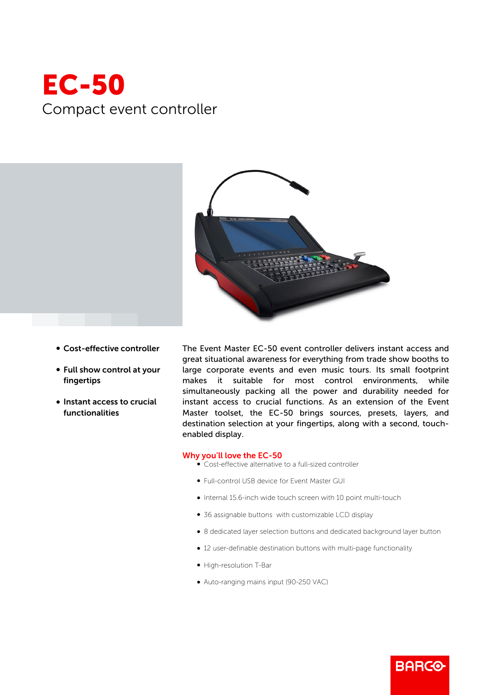## EC-50 Compact event controller



- Cost-effective controller
- Full show control at your fingertips
- Instant access to crucial functionalities

The Event Master EC-50 event controller delivers instant access and great situational awareness for everything from trade show booths to large corporate events and even music tours. Its small footprint makes it suitable for most control environments, while simultaneously packing all the power and durability needed for instant access to crucial functions. As an extension of the Event Master toolset, the EC-50 brings sources, presets, layers, and destination selection at your fingertips, along with a second, touchenabled display.

## Why you'll love the EC-50

- Cost-effective alternative to a full-sized controller
- b Full-control USB device for Event Master GUI
- $\bullet$  Internal 15.6-inch wide touch screen with 10 point multi-touch
- 36 assignable buttons with customizable LCD display
- b 8 dedicated layer selection buttons and dedicated background layer button

**BARGO** 

- 12 user-definable destination buttons with multi-page functionality
- High-resolution T-Bar
- b Auto-ranging mains input (90-250 VAC)